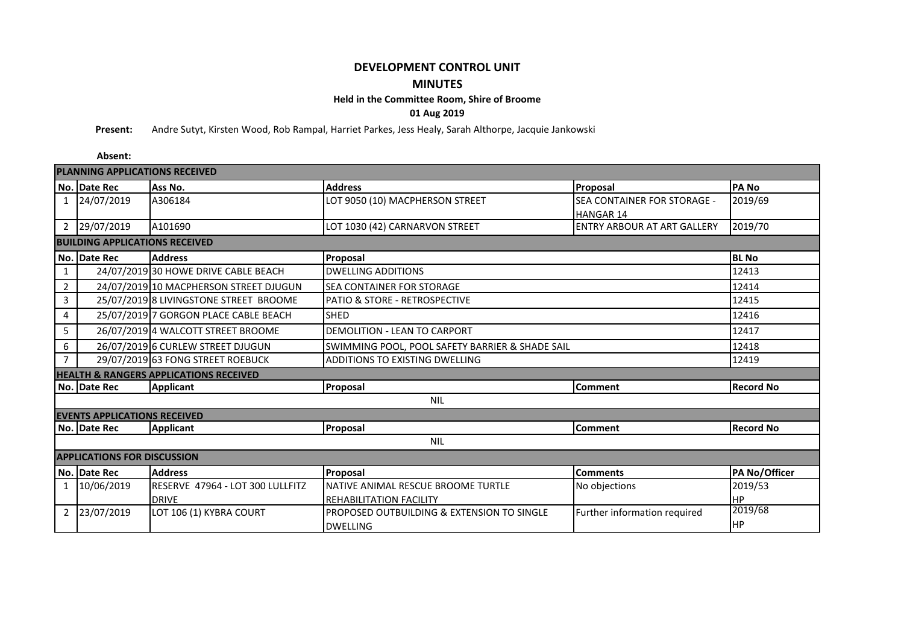## **DEVELOPMENT CONTROL UNIT MINUTES**

## **Held in the Committee Room, Shire of Broome**

**01 Aug 2019**

**Present:** Andre Sutyt, Kirsten Wood, Rob Rampal, Harriet Parkes, Jess Healy, Sarah Althorpe, Jacquie Jankowski

**Absent: No. Date Rec Ass No. Address Proposal PA No** 1 24/07/2019 A306184 LOT 9050 (10) MACPHERSON STREET SEA CONTAINER FOR STORAGE -**HANGAR 14<br>ENTRY ARBOUR AT ART GALLERY** 2019/69 2 29/07/2019 A101690 LOT 1030 (42) CARNARVON STREET ENTRY ARBOUR AT ART GALLERY 2019/70 **No. Date Rec Address BL No** 1 24/07/2019 30 HOWE DRIVE CABLE BEACH DWELLING ADDITIONS 12413 2 24/07/2019 10 MACPHERSON STREET DJUGUN SEA CONTAINER FOR STORAGE 3 25/07/2019 8 LIVINGSTONE STREET BROOME PATIO & STORE - RETROSPECTIVE 12415 4 25/07/2019 7 GORGON PLACE CABLE BEACH 5HED 25/07/2019 7 SHED 5 26/07/2019 4 WALCOTT STREET BROOME DEMOLITION - LEAN TO CARPORT 12417 6 26/07/2019 6 CURLEW STREET DJUGUN 12418 SWIMMING POOL, POOL SAFETY BARRIER & SHADE SAIL7 29/07/2019 63 FONG STREET ROEBUCK ADDITIONS TO EXISTING DWELLING AND TO 29/07/2019 63 FONG STREET ROEBUCK **No. Date Rec Applicant Proposal Comment Record No No. Date Rec Applicant Proposal Comment Record No No. Date Rec Address Proposal Comments PA No/Officer** 1 10/06/2019 RESERVE 47964 - LOT 300 LULLFITZ DRIVE NATIVE ANIMAL RESCUE BROOME TURTLE REHABILITATION FACILITY No objections 2019/53 HP<br>2019/68 2 23/07/2019 LOT 106 (1) KYBRA COURT PROPOSED OUTBUILDING & EXTENSION TO SINGLE DWELLING Further information required HP NIL **SHED** DEMOLITION - LEAN TO CARPORT NIL **APPLICATIONS FOR DISCUSSION EVENTS APPLICATIONS RECEIVED**<br>No. Date Rec **Applicant HEALTH & RANGERS APPLICATIONS RECEIVED** ADDITIONS TO EXISTING DWELLING **PLANNING APPLICATIONS RECEIVED BUILDING APPLICATIONS RECEIVED Proposal** DWELLING ADDITIONS SEA CONTAINER FOR STORAGE PATIO & STORE - RETROSPECTIVE